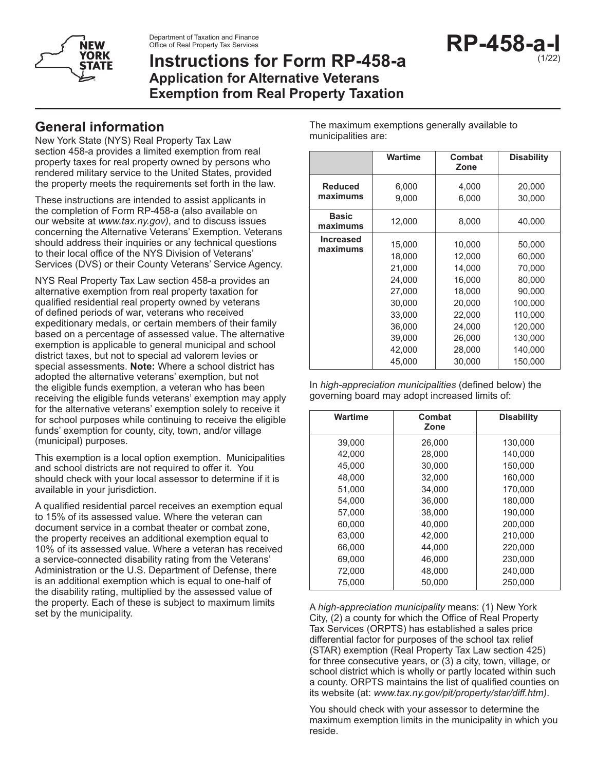

Department of Taxation and Finance Office of Real Property Tax Services

# **Instructions for Form RP-458-a Application for Alternative Veterans Exemption from Real Property Taxation**

### **General information**

New York State (NYS) Real Property Tax Law section 458-a provides a limited exemption from real property taxes for real property owned by persons who rendered military service to the United States, provided the property meets the requirements set forth in the law.

These instructions are intended to assist applicants in the completion of Form RP-458-a (also available on our website at *www.tax.ny.gov)*, and to discuss issues concerning the Alternative Veterans' Exemption. Veterans should address their inquiries or any technical questions to their local office of the NYS Division of Veterans' Services (DVS) or their County Veterans' Service Agency.

NYS Real Property Tax Law section 458-a provides an alternative exemption from real property taxation for qualified residential real property owned by veterans of defined periods of war, veterans who received expeditionary medals, or certain members of their family based on a percentage of assessed value. The alternative exemption is applicable to general municipal and school district taxes, but not to special ad valorem levies or special assessments. **Note:** Where a school district has adopted the alternative veterans' exemption, but not the eligible funds exemption, a veteran who has been receiving the eligible funds veterans' exemption may apply for the alternative veterans' exemption solely to receive it for school purposes while continuing to receive the eligible funds' exemption for county, city, town, and/or village (municipal) purposes.

This exemption is a local option exemption. Municipalities and school districts are not required to offer it. You should check with your local assessor to determine if it is available in your jurisdiction.

A qualified residential parcel receives an exemption equal to 15% of its assessed value. Where the veteran can document service in a combat theater or combat zone, the property receives an additional exemption equal to 10% of its assessed value. Where a veteran has received a service-connected disability rating from the Veterans' Administration or the U.S. Department of Defense, there is an additional exemption which is equal to one-half of the disability rating, multiplied by the assessed value of the property. Each of these is subject to maximum limits set by the municipality.

The maximum exemptions generally available to municipalities are:

|                              | <b>Wartime</b>                                                                                             | Combat<br>Zone                                                                                             | <b>Disability</b>                                                                                                |
|------------------------------|------------------------------------------------------------------------------------------------------------|------------------------------------------------------------------------------------------------------------|------------------------------------------------------------------------------------------------------------------|
| <b>Reduced</b><br>maximums   | 6,000<br>9,000                                                                                             | 4,000<br>6,000                                                                                             | 20,000<br>30,000                                                                                                 |
| <b>Basic</b><br>maximums     | 12,000                                                                                                     | 8,000                                                                                                      | 40,000                                                                                                           |
| <b>Increased</b><br>maximums | 15,000<br>18,000<br>21,000<br>24,000<br>27,000<br>30,000<br>33,000<br>36,000<br>39,000<br>42,000<br>45,000 | 10,000<br>12,000<br>14,000<br>16,000<br>18,000<br>20,000<br>22,000<br>24,000<br>26,000<br>28,000<br>30,000 | 50,000<br>60,000<br>70,000<br>80,000<br>90,000<br>100,000<br>110,000<br>120,000<br>130,000<br>140,000<br>150,000 |

In *high-appreciation municipalities* (defined below) the governing board may adopt increased limits of:

| Wartime | Combat<br>Zone | <b>Disability</b> |
|---------|----------------|-------------------|
| 39,000  | 26,000         | 130,000           |
| 42.000  | 28.000         | 140.000           |
| 45.000  | 30.000         | 150,000           |
| 48.000  | 32.000         | 160,000           |
| 51.000  | 34.000         | 170.000           |
| 54.000  | 36.000         | 180.000           |
| 57.000  | 38.000         | 190.000           |
| 60.000  | 40.000         | 200.000           |
| 63.000  | 42.000         | 210.000           |
| 66.000  | 44.000         | 220,000           |
| 69.000  | 46.000         | 230.000           |
| 72,000  | 48,000         | 240,000           |
| 75.000  | 50.000         | 250,000           |

A *high-appreciation municipality* means: (1) New York City, (2) a county for which the Office of Real Property Tax Services (ORPTS) has established a sales price differential factor for purposes of the school tax relief (STAR) exemption (Real Property Tax Law section 425) for three consecutive years, or (3) a city, town, village, or school district which is wholly or partly located within such a county. ORPTS maintains the list of qualified counties on its website (at: *www.tax.ny.gov/pit/property/star/diff.htm)*.

You should check with your assessor to determine the maximum exemption limits in the municipality in which you reside.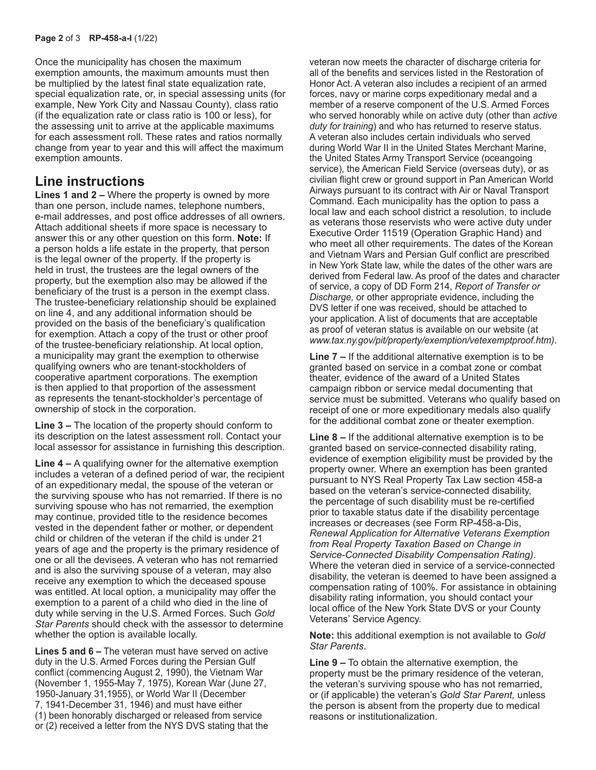Once the municipality has chosen the maximum exemption amounts, the maximum amounts must then be multiplied by the latest final state equalization rate, special equalization rate, or, in special assessing units (for example, New York City and Nassau County), class ratio (if the equalization rate or class ratio is 100 or less), for the assessing unit to arrive at the applicable maximums for each assessment roll. These rates and ratios normally change from year to year and this will affect the maximum exemption amounts.

#### **Line instructions**

**Lines 1 and 2 –** Where the property is owned by more than one person, include names, telephone numbers, e-mail addresses, and post office addresses of all owners. Attach additional sheets if more space is necessary to answer this or any other question on this form. **Note:** If a person holds a life estate in the property, that person is the legal owner of the property. If the property is held in trust, the trustees are the legal owners of the property, but the exemption also may be allowed if the beneficiary of the trust is a person in the exempt class. The trustee-beneficiary relationship should be explained on line 4, and any additional information should be provided on the basis of the beneficiary's qualification for exemption. Attach a copy of the trust or other proof of the trustee-beneficiary relationship. At local option, a municipality may grant the exemption to otherwise qualifying owners who are tenant-stockholders of cooperative apartment corporations. The exemption is then applied to that proportion of the assessment as represents the tenant-stockholder's percentage of ownership of stock in the corporation.

**Line 3 –** The location of the property should conform to its description on the latest assessment roll. Contact your local assessor for assistance in furnishing this description.

**Line 4 –** A qualifying owner for the alternative exemption includes a veteran of a defined period of war, the recipient of an expeditionary medal, the spouse of the veteran or the surviving spouse who has not remarried. If there is no surviving spouse who has not remarried, the exemption may continue, provided title to the residence becomes vested in the dependent father or mother, or dependent child or children of the veteran if the child is under 21 years of age and the property is the primary residence of one or all the devisees. A veteran who has not remarried and is also the surviving spouse of a veteran, may also receive any exemption to which the deceased spouse was entitled. At local option, a municipality may offer the exemption to a parent of a child who died in the line of duty while serving in the U.S. Armed Forces. Such *Gold Star Parents* should check with the assessor to determine whether the option is available locally.

**Lines 5 and 6 –** The veteran must have served on active duty in the U.S. Armed Forces during the Persian Gulf conflict (commencing August 2, 1990), the Vietnam War (November 1, 1955-May 7, 1975), Korean War (June 27, 1950-January 31,1955), or World War II (December 7, 1941-December 31, 1946) and must have either (1) been honorably discharged or released from service or (2) received a letter from the NYS DVS stating that the

veteran now meets the character of discharge criteria for all of the benefits and services listed in the Restoration of Honor Act. A veteran also includes a recipient of an armed forces, navy or marine corps expeditionary medal and a member of a reserve component of the U.S. Armed Forces who served honorably while on active duty (other than *active duty for training*) and who has returned to reserve status. A veteran also includes certain individuals who served during World War II in the United States Merchant Marine, the United States Army Transport Service (oceangoing service), the American Field Service (overseas duty), or as civilian flight crew or ground support in Pan American World Airways pursuant to its contract with Air or Naval Transport Command. Each municipality has the option to pass a local law and each school district a resolution, to include as veterans those reservists who were active duty under Executive Order 11519 (Operation Graphic Hand) and who meet all other requirements. The dates of the Korean and Vietnam Wars and Persian Gulf conflict are prescribed in New York State law, while the dates of the other wars are derived from Federal law. As proof of the dates and character of service, a copy of DD Form 214, *Report of Transfer or Discharge,* or other appropriate evidence, including the DVS letter if one was received, should be attached to your application. A list of documents that are acceptable as proof of veteran status is available on our website (at *www.tax.ny.gov/pit/property/exemption/vetexemptproof.htm)*.

**Line 7 –** If the additional alternative exemption is to be granted based on service in a combat zone or combat theater, evidence of the award of a United States campaign ribbon or service medal documenting that service must be submitted. Veterans who qualify based on receipt of one or more expeditionary medals also qualify for the additional combat zone or theater exemption.

**Line 8 –** If the additional alternative exemption is to be granted based on service-connected disability rating, evidence of exemption eligibility must be provided by the property owner. Where an exemption has been granted pursuant to NYS Real Property Tax Law section 458-a based on the veteran's service-connected disability, the percentage of such disability must be re-certified prior to taxable status date if the disability percentage increases or decreases (see Form RP-458-a-Dis, *Renewal Application for Alternative Veterans Exemption from Real Property Taxation Based on Change in Service-Connected Disability Compensation Rating)*. Where the veteran died in service of a service-connected disability, the veteran is deemed to have been assigned a compensation rating of 100%. For assistance in obtaining disability rating information, you should contact your local office of the New York State DVS or your County Veterans' Service Agency.

**Note:** this additional exemption is not available to *Gold Star Parents*.

**Line 9 –** To obtain the alternative exemption, the property must be the primary residence of the veteran, the veteran's surviving spouse who has not remarried, or (if applicable) the veteran's *Gold Star Parent,* unless the person is absent from the property due to medical reasons or institutionalization.